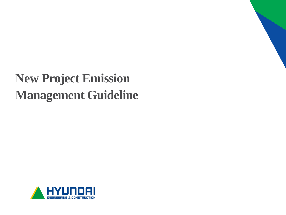# **New Project Emission Management Guideline**

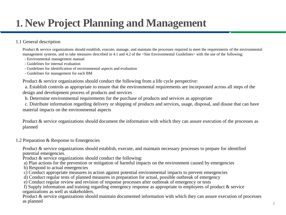## **1. New Project Planning and Management**

#### 1.1 General description

Product & service organizations should establish, execute, manage, and maintain the processes required to meet the requirements of the environmental management systems, and to take measures described in 4.1 and 4.2 of the <Site Environmental Guidelines> with the use of the following:

- Environmental management manual
- Guidelines for internal evaluation
- Guidelines for identification of environmental aspects and evaluation
- Guidelines for management for each BM

Product & service organizations should conduct the following from a life cycle perspective:

a. Establish controls as appropriate to ensure that the environmental requirements are incorporated across all steps of the design and development process of products and services

b. Determine environmental requirements for the purchase of products and services as appropriate

c. Distribute information regarding delivery or shipping of products and services, usage, disposal, and disuse that can have material impacts on the environmental aspects

Product & service organizations should document the information with which they can assure execution of the processes as planned

#### 1.2 Preparation & Response to Emergencies

Product & service organizations should establish, execute, and maintain necessary processes to prepare for identified potential emergencies.

Product & service organizations should conduct the following:

a) Plan actions for the prevention or mitigation of harmful impacts on the environment caused by emergencies

- b) Respond to actual emergencies
- c) Conduct appropriate measures in action against potential environmental impacts to prevent emergencies
- d) Conduct regular tests of planned measures in preparation for actual, possible outbreak of emergency

e) Conduct regular review and revision of response processes after outbreak of emergency or tests

f) Supply information and training regarding emergency response as appropriate to employees of product & service organizations as well as stakeholders.

Product & service organizations should maintain documented information with which they can assure execution of processes as planned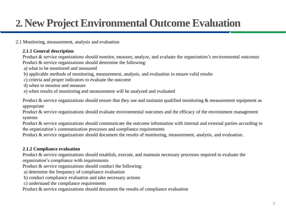## **2. New Project Environmental Outcome Evaluation**

2.1 Monitoring, measurement, analysis and evaluation

### **2.1.1 General description**

Product & service organizations should monitor, measure, analyze, and evaluate the organization's environmental outcomes Product & service organizations should determine the following:

a) what to be monitored and measured

- b) applicable methods of monitoring, measurement, analysis, and evaluation to ensure valid results
- c) criteria and proper indicators to evaluate the outcome
- d) when to monitor and measure
- e) when results of monitoring and measurement will be analyzed and evaluated

Product & service organizations should ensure that they use and maintain qualified monitoring  $\&$  measurement equipment as appropriate

Product & service organizations should evaluate environmental outcomes and the efficacy of the environment management systems

Product & service organizations should communicate the outcome information with internal and external parties according to the organization's communication processes and compliance requirements

Product & service organizations should document the results of monitoring, measurement, analysis, and evaluation.

#### **2.1.2 Compliance evaluation**

Product & service organizations should establish, execute, and maintain necessary processes required to evaluate the organization's compliance with requirements

Product & service organizations should conduct the following:

a) determine the frequency of compliance evaluation

- b) conduct compliance evaluation and take necessary actions
- c) understand the compliance requirements

Product & service organizations should document the results of compliance evaluation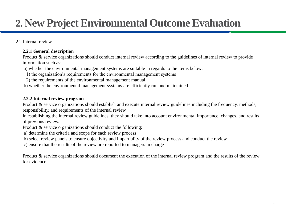## **2. New Project Environmental Outcome Evaluation**

2.2 Internal review

#### **2.2.1 General description**

Product & service organizations should conduct internal review according to the guidelines of internal review to provide information such as:

a) whether the environmental management systems are suitable in regards to the items below:

- 1) the organization's requirements for the environmental management systems
- 2) the requirements of the environmental management manual
- b) whether the environmental management systems are efficiently run and maintained

#### **2.2.2 Internal review program**

Product & service organizations should establish and execute internal review guidelines including the frequency, methods, responsibility, and requirements of the internal review

In establishing the internal review guidelines, they should take into account environmental importance, changes, and results of previous review.

Product & service organizations should conduct the following:

a) determine the criteria and scope for each review process

b) select review panels to ensure objectivity and impartiality of the review process and conduct the review

c) ensure that the results of the review are reported to managers in charge

Product & service organizations should document the execution of the internal review program and the results of the review for evidence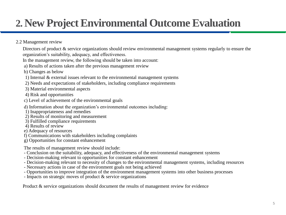### **2. New Project Environmental Outcome Evaluation**

2.2 Management review

Directors of product & service organizations should review environmental management systems regularly to ensure the organization's suitability, adequacy, and effectiveness.

In the management review, the following should be taken into account:

- a) Results of actions taken after the previous management review
- b) Changes as below
- 1) Internal & external issues relevant to the environmental management systems
- 2) Needs and expectations of stakeholders, including compliance requirements
- 3) Material environmental aspects
- 4) Risk and opportunities
- c) Level of achievement of the environmental goals
- d) Information about the organization's environmental outcomes including:
- 1) Inappropriateness and remedies
- 2) Results of monitoring and measurement
- 3) Fulfilled compliance requirements
- 4) Results of review
- e) Adequacy of resources
- f) Communications with stakeholders including complaints
- g) Opportunities for constant enhancement

The results of management review should include:

- Conclusion on the suitability, adequacy, and effectiveness of the environmental management systems
- Decision-making relevant to opportunities for constant enhancement
- Decision-making relevant to necessity of changes to the environmental management systems, including resources
- Necessary actions in case of the environment goals not being achieved
- Opportunities to improve integration of the environment management systems into other business processes
- Impacts on strategic moves of product & service organizations

Product & service organizations should document the results of management review for evidence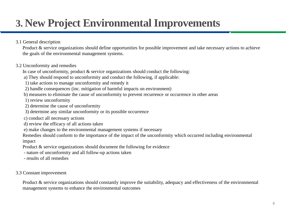## **3. New Project Environmental Improvements**

3.1 General description

Product & service organizations should define opportunities for possible improvement and take necessary actions to achieve the goals of the environmental management systems.

### 3.2 Unconformity and remedies

In case of unconformity, product & service organizations should conduct the following:

- a) They should respond to unconformity and conduct the following, if applicable:
- 1) take actions to manage unconformity and remedy it
- 2) handle consequences (inc. mitigation of harmful impacts on environment)
- b) measures to eliminate the cause of unconformity to prevent recurrence or occurrence in other areas
- 1) review unconformity
- 2) determine the cause of unconformity
- 3) determine any similar unconformity or its possible occurrence
- c) conduct all necessary actions
- d) review the efficacy of all actions taken
- e) make changes to the environmental management systems if necessary

Remedies should conform to the importance of the impact of the unconformity which occurred including environmental impact

Product & service organizations should document the following for evidence

- nature of unconformity and all follow-up actions taken
- results of all remedies

3.3 Constant improvement

Product & service organizations should constantly improve the suitability, adequacy and effectiveness of the environmental management systems to enhance the environmental outcomes